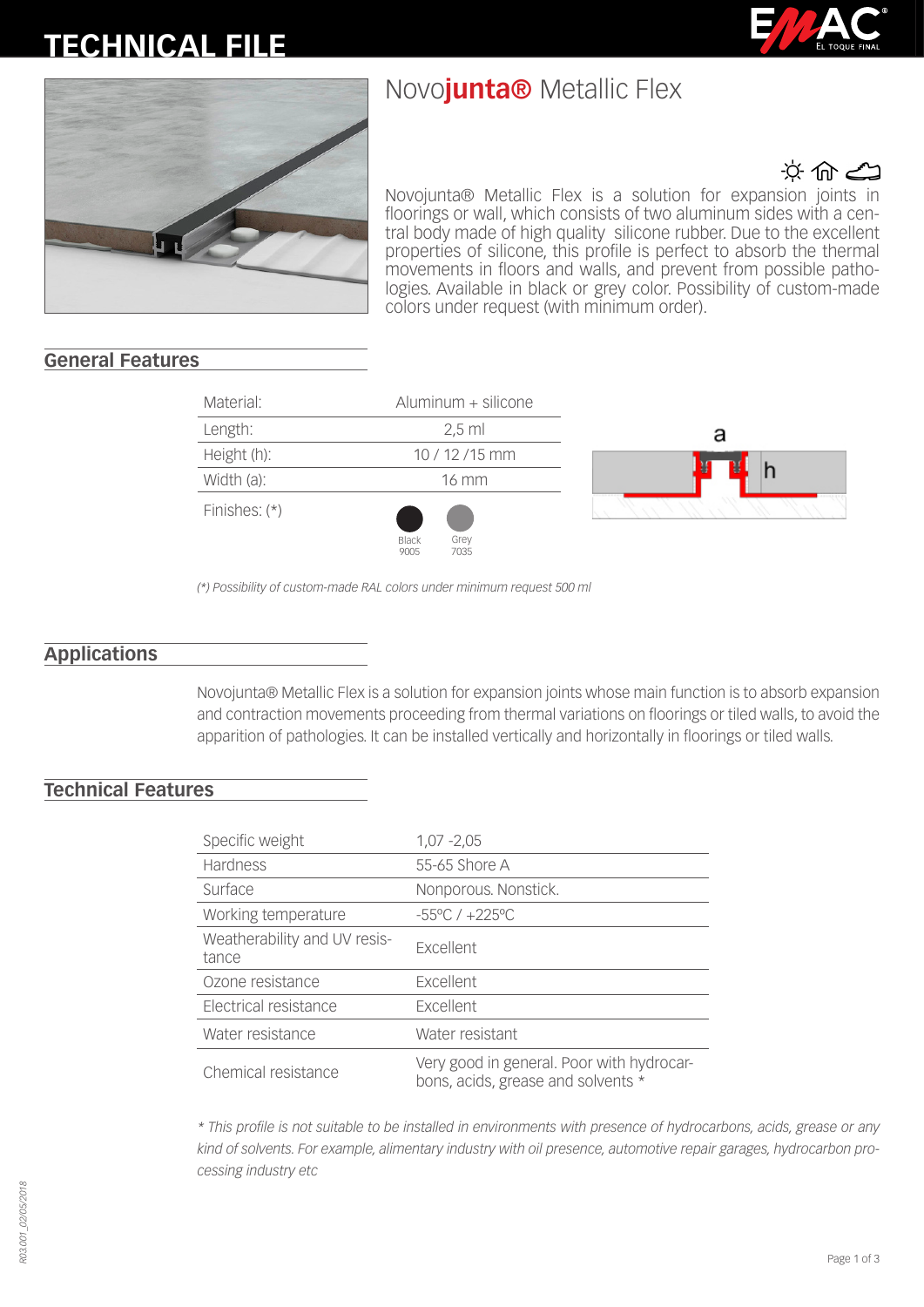# **TECHNICAL FILE**

## Novo**junta®** Metallic Flex





な命の Novojunta® Metallic Flex is a solution for expansion joints in floorings or wall, which consists of two aluminum sides with a central body made of high quality silicone rubber. Due to the excellent properties of silicone, this profile is perfect to absorb the thermal movements in floors and walls, and prevent from possible pathologies. Available in black or grey color. Possibility of custom-made colors under request (with minimum order).

## **General Features**

| Material:       | Aluminum + silicone           |        |
|-----------------|-------------------------------|--------|
| Length:         | $2,5$ ml                      | a      |
| Height (h):     | 10 / 12 / 15 mm               |        |
| Width (a):      | 16 mm                         | a<br>Ð |
| Finishes: $(*)$ | Black<br>Grey<br>7035<br>9005 |        |

*(\*) Possibility of custom-made RAL colors under minimum request 500 ml*

## **Applications**

Novojunta® Metallic Flex is a solution for expansion joints whose main function is to absorb expansion and contraction movements proceeding from thermal variations on floorings or tiled walls, to avoid the apparition of pathologies. It can be installed vertically and horizontally in floorings or tiled walls.

### **Technical Features**

| Specific weight                       | $1,07 - 2,05$                                                                   |
|---------------------------------------|---------------------------------------------------------------------------------|
| Hardness                              | 55-65 Shore A                                                                   |
| Surface                               | Nonporous. Nonstick.                                                            |
| Working temperature                   | $-55^{\circ}$ C / $+225^{\circ}$ C                                              |
| Weatherability and UV resis-<br>tance | <b>Excellent</b>                                                                |
| Ozone resistance                      | <b>Excellent</b>                                                                |
| Electrical resistance                 | <b>Excellent</b>                                                                |
| Water resistance                      | Water resistant                                                                 |
| Chemical resistance                   | Very good in general. Poor with hydrocar-<br>bons, acids, grease and solvents * |

*\* This profile is not suitable to be installed in environments with presence of hydrocarbons, acids, grease or any kind of solvents. For example, alimentary industry with oil presence, automotive repair garages, hydrocarbon processing industry etc*

*R03.001\_02/05/2018* R03.001\_02/05/2018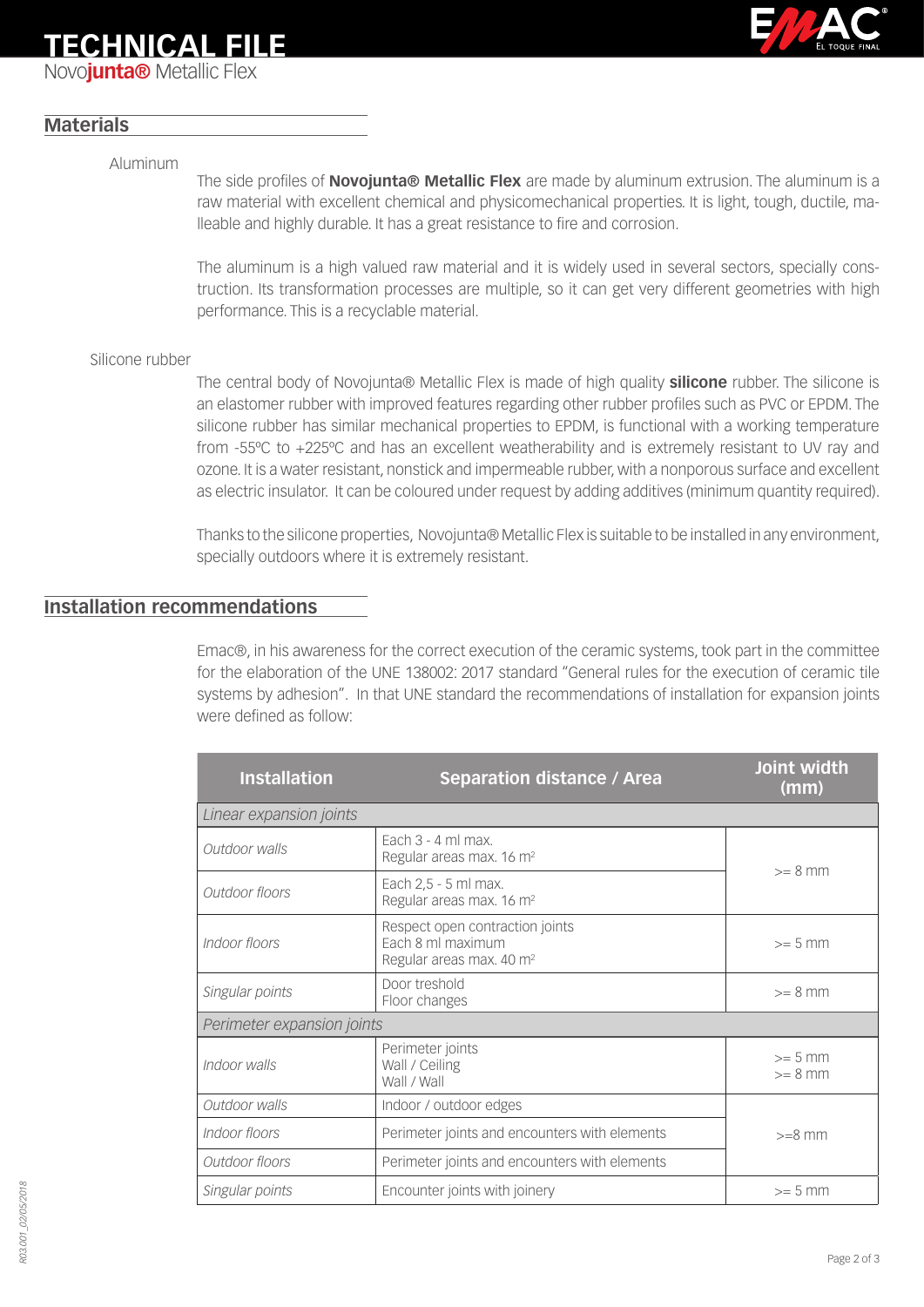## **TECHNICAL FILE**

Novo**junta®** Metallic Flex



## **Materials**

#### Aluminum

The side profiles of **Novojunta® Metallic Flex** are made by aluminum extrusion. The aluminum is a raw material with excellent chemical and physicomechanical properties. It is light, tough, ductile, malleable and highly durable. It has a great resistance to fire and corrosion.

The aluminum is a high valued raw material and it is widely used in several sectors, specially construction. Its transformation processes are multiple, so it can get very different geometries with high performance. This is a recyclable material.

#### Silicone rubber

The central body of Novojunta® Metallic Flex is made of high quality **silicone** rubber. The silicone is an elastomer rubber with improved features regarding other rubber profiles such as PVC or EPDM. The silicone rubber has similar mechanical properties to EPDM, is functional with a working temperature from -55ºC to +225ºC and has an excellent weatherability and is extremely resistant to UV ray and ozone. It is a water resistant, nonstick and impermeable rubber, with a nonporous surface and excellent as electric insulator. It can be coloured under request by adding additives (minimum quantity required).

Thanks to the silicone properties, Novojunta® Metallic Flex is suitable to be installed in any environment, specially outdoors where it is extremely resistant.

## **Installation recommendations**

Emac®, in his awareness for the correct execution of the ceramic systems, took part in the committee for the elaboration of the UNE 138002: 2017 standard "General rules for the execution of ceramic tile systems by adhesion". In that UNE standard the recommendations of installation for expansion joints were defined as follow:

| <b>Installation</b>        | <b>Separation distance / Area</b>                                                            | Joint width<br>(mm)    |  |  |
|----------------------------|----------------------------------------------------------------------------------------------|------------------------|--|--|
| Linear expansion joints    |                                                                                              |                        |  |  |
| Outdoor walls              | Each $3 - 4$ ml max.<br>Regular areas max. 16 m <sup>2</sup><br>$>= 8$ mm                    |                        |  |  |
| Outdoor floors             | Each 2,5 - 5 ml max.<br>Regular areas max. 16 m <sup>2</sup>                                 |                        |  |  |
| Indoor floors              | Respect open contraction joints<br>Each 8 ml maximum<br>Regular areas max. 40 m <sup>2</sup> | $>= 5$ mm              |  |  |
| Singular points            | Door treshold<br>Floor changes                                                               | $>= 8$ mm              |  |  |
| Perimeter expansion joints |                                                                                              |                        |  |  |
| Indoor walls               | Perimeter joints<br>Wall / Ceiling<br>Wall / Wall                                            | $>= 5$ mm<br>$>= 8$ mm |  |  |
| Outdoor walls              | Indoor / outdoor edges                                                                       |                        |  |  |
| Indoor floors              | Perimeter joints and encounters with elements                                                | $>=8$ mm               |  |  |
| Outdoor floors             | Perimeter joints and encounters with elements                                                |                        |  |  |
| Singular points            | Encounter joints with joinery                                                                | $>= 5$ mm              |  |  |